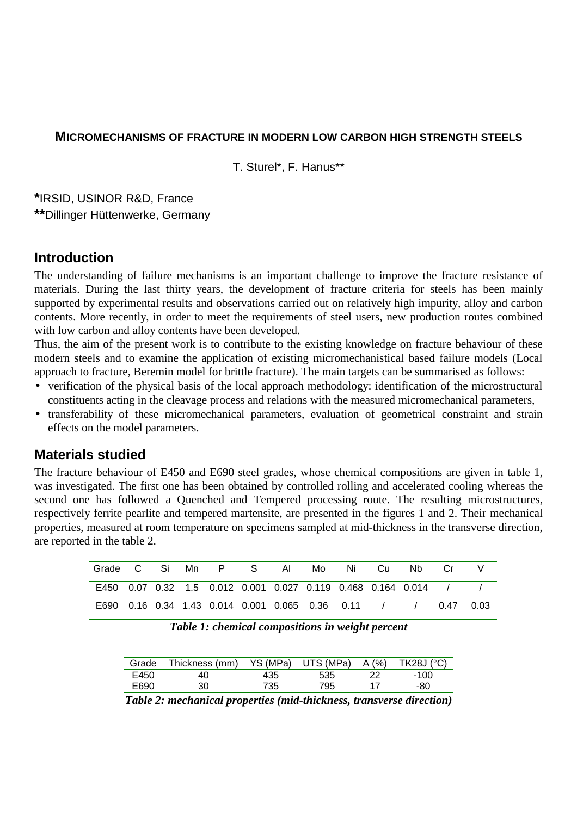### **MICROMECHANISMS OF FRACTURE IN MODERN LOW CARBON HIGH STRENGTH STEELS**

T. Sturel\*, F. Hanus\*\*

**\***IRSID, USINOR R&D, France **\*\***Dillinger Hüttenwerke, Germany

## **Introduction**

The understanding of failure mechanisms is an important challenge to improve the fracture resistance of materials. During the last thirty years, the development of fracture criteria for steels has been mainly supported by experimental results and observations carried out on relatively high impurity, alloy and carbon contents. More recently, in order to meet the requirements of steel users, new production routes combined with low carbon and alloy contents have been developed.

Thus, the aim of the present work is to contribute to the existing knowledge on fracture behaviour of these modern steels and to examine the application of existing micromechanistical based failure models (Local approach to fracture, Beremin model for brittle fracture). The main targets can be summarised as follows:

- verification of the physical basis of the local approach methodology: identification of the microstructural constituents acting in the cleavage process and relations with the measured micromechanical parameters,
- transferability of these micromechanical parameters, evaluation of geometrical constraint and strain effects on the model parameters.

## **Materials studied**

The fracture behaviour of E450 and E690 steel grades, whose chemical compositions are given in table 1, was investigated. The first one has been obtained by controlled rolling and accelerated cooling whereas the second one has followed a Quenched and Tempered processing route. The resulting microstructures, respectively ferrite pearlite and tempered martensite, are presented in the figures 1 and 2. Their mechanical properties, measured at room temperature on specimens sampled at mid-thickness in the transverse direction, are reported in the table 2.

| Grade C Si Mn P S Al Mo Ni Cu |  |  |  |  | - Nb                                                                            |  |
|-------------------------------|--|--|--|--|---------------------------------------------------------------------------------|--|
|                               |  |  |  |  | E450  0.07  0.32  1.5  0.012  0.001  0.027  0.119  0.468  0.164  0.014  /       |  |
|                               |  |  |  |  | E690  0.16  0.34  1.43  0.014  0.001  0.065  0.36  0.11     /     /  0.47  0.03 |  |

*Table 1: chemical compositions in weight percent*

| Grade | Thickness (mm) |      | YS (MPa) UTS (MPa) | A (%) | $TK28J$ ( $^{\circ}$ C) |
|-------|----------------|------|--------------------|-------|-------------------------|
| E450  | 40             | 435  | 535                |       | $-100$                  |
| E690  | 30             | 735. | 795                |       | -80                     |

*Table 2: mechanical properties (mid-thickness, transverse direction)*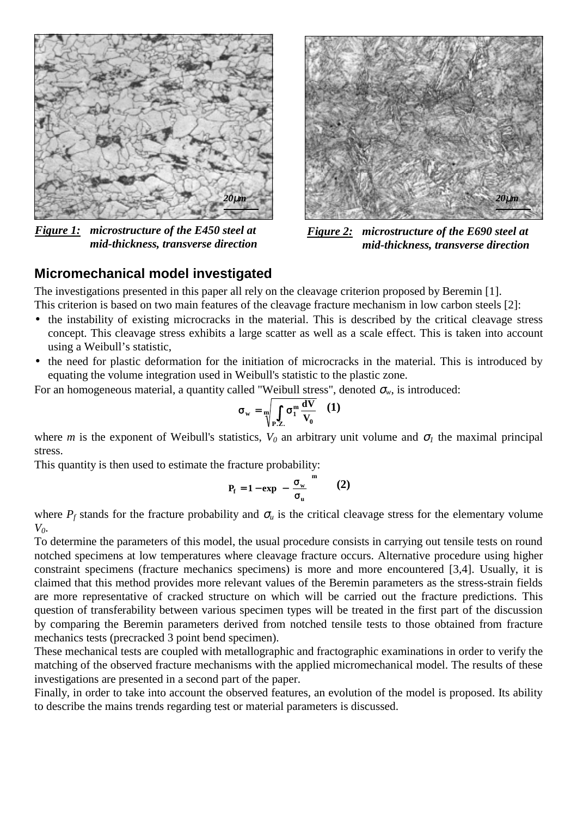

*Figure 1: microstructure of the E450 steel at mid-thickness, transverse direction*



*Figure 2: microstructure of the E690 steel at mid-thickness, transverse direction*

## **Micromechanical model investigated**

The investigations presented in this paper all rely on the cleavage criterion proposed by Beremin [1].

This criterion is based on two main features of the cleavage fracture mechanism in low carbon steels [2]:

- the instability of existing microcracks in the material. This is described by the critical cleavage stress concept. This cleavage stress exhibits a large scatter as well as a scale effect. This is taken into account using a Weibull's statistic,
- the need for plastic deformation for the initiation of microcracks in the material. This is introduced by equating the volume integration used in Weibull's statistic to the plastic zone.

For an homogeneous material, a quantity called "Weibull stress", denoted  $\sigma_w$ , is introduced:

$$
\sigma_{\rm w} = \sqrt{\int_{P.Z.} \sigma_1^{\rm m} \frac{dV}{V_0}} \quad (1)
$$

where *m* is the exponent of Weibull's statistics,  $V_0$  an arbitrary unit volume and  $\sigma_l$  the maximal principal stress.

This quantity is then used to estimate the fracture probability:

$$
P_{f} = 1 - \exp\left(-\left(\frac{\sigma_{w}}{\sigma_{u}}\right)^{m}\right) \quad (2)
$$

where  $P_f$  stands for the fracture probability and  $\sigma_u$  is the critical cleavage stress for the elementary volume *V0*.

To determine the parameters of this model, the usual procedure consists in carrying out tensile tests on round notched specimens at low temperatures where cleavage fracture occurs. Alternative procedure using higher constraint specimens (fracture mechanics specimens) is more and more encountered [3,4]. Usually, it is claimed that this method provides more relevant values of the Beremin parameters as the stress-strain fields are more representative of cracked structure on which will be carried out the fracture predictions. This question of transferability between various specimen types will be treated in the first part of the discussion by comparing the Beremin parameters derived from notched tensile tests to those obtained from fracture mechanics tests (precracked 3 point bend specimen).

These mechanical tests are coupled with metallographic and fractographic examinations in order to verify the matching of the observed fracture mechanisms with the applied micromechanical model. The results of these investigations are presented in a second part of the paper.

Finally, in order to take into account the observed features, an evolution of the model is proposed. Its ability to describe the mains trends regarding test or material parameters is discussed.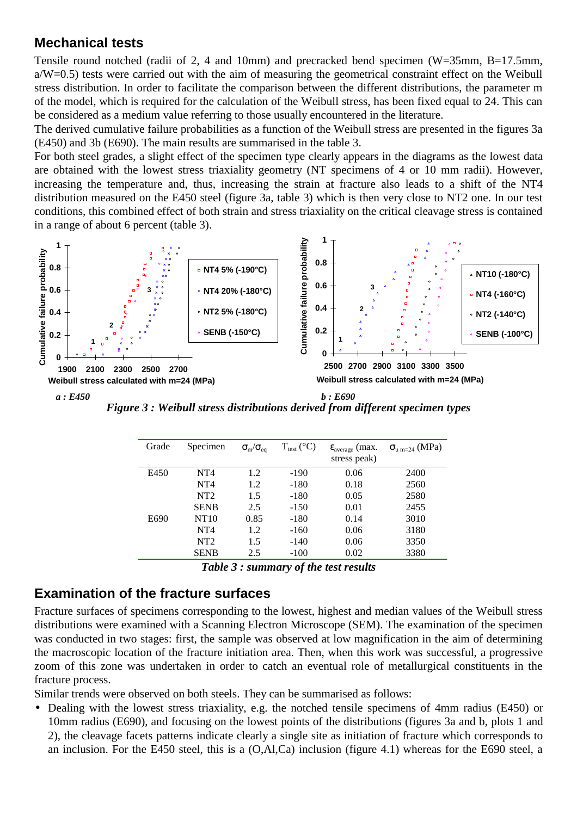# **Mechanical tests**

Tensile round notched (radii of 2, 4 and 10mm) and precracked bend specimen (W=35mm, B=17.5mm, a/W=0.5) tests were carried out with the aim of measuring the geometrical constraint effect on the Weibull stress distribution. In order to facilitate the comparison between the different distributions, the parameter m of the model, which is required for the calculation of the Weibull stress, has been fixed equal to 24. This can be considered as a medium value referring to those usually encountered in the literature.

The derived cumulative failure probabilities as a function of the Weibull stress are presented in the figures 3a (E450) and 3b (E690). The main results are summarised in the table 3.

For both steel grades, a slight effect of the specimen type clearly appears in the diagrams as the lowest data are obtained with the lowest stress triaxiality geometry (NT specimens of 4 or 10 mm radii). However, increasing the temperature and, thus, increasing the strain at fracture also leads to a shift of the NT4 distribution measured on the E450 steel (figure 3a, table 3) which is then very close to NT2 one. In our test conditions, this combined effect of both strain and stress triaxiality on the critical cleavage stress is contained in a range of about 6 percent (table 3).



*Figure 3 : Weibull stress distributions derived from different specimen types*

| Grade | Specimen        | $\sigma_{\rm m}/\sigma_{\rm eq}$ | $T_{test}$ (°C) | $\varepsilon_{\text{average}}$ (max.<br>stress peak) | $\sigma_{u\,m=24}$ (MPa) |
|-------|-----------------|----------------------------------|-----------------|------------------------------------------------------|--------------------------|
| E450  | NT <sub>4</sub> | 1.2                              | -190            | 0.06                                                 | 2400                     |
|       | NT <sub>4</sub> | 1.2                              | $-180$          | 0.18                                                 | 2560                     |
|       | NT2             | 1.5                              | $-180$          | 0.05                                                 | 2580                     |
|       | <b>SENB</b>     | 2.5                              | $-150$          | 0.01                                                 | 2455                     |
| E690  | NT10            | 0.85                             | $-180$          | 0.14                                                 | 3010                     |
|       | NT <sub>4</sub> | 1.2                              | $-160$          | 0.06                                                 | 3180                     |
|       | NT <sub>2</sub> | 1.5                              | $-140$          | 0.06                                                 | 3350                     |
|       | <b>SENB</b>     | 2.5                              | $-100$          | 0.02                                                 | 3380                     |

*Table 3 : summary of the test results*

# **Examination of the fracture surfaces**

Fracture surfaces of specimens corresponding to the lowest, highest and median values of the Weibull stress distributions were examined with a Scanning Electron Microscope (SEM). The examination of the specimen was conducted in two stages: first, the sample was observed at low magnification in the aim of determining the macroscopic location of the fracture initiation area. Then, when this work was successful, a progressive zoom of this zone was undertaken in order to catch an eventual role of metallurgical constituents in the fracture process.

Similar trends were observed on both steels. They can be summarised as follows:

• Dealing with the lowest stress triaxiality, e.g. the notched tensile specimens of 4mm radius (E450) or 10mm radius (E690), and focusing on the lowest points of the distributions (figures 3a and b, plots 1 and 2), the cleavage facets patterns indicate clearly a single site as initiation of fracture which corresponds to an inclusion. For the E450 steel, this is a (O,Al,Ca) inclusion (figure 4.1) whereas for the E690 steel, a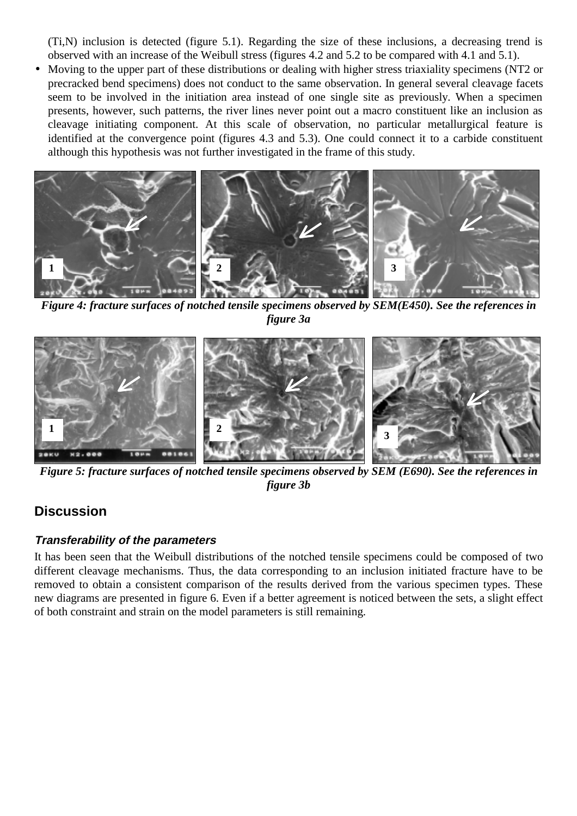(Ti,N) inclusion is detected (figure 5.1). Regarding the size of these inclusions, a decreasing trend is observed with an increase of the Weibull stress (figures 4.2 and 5.2 to be compared with 4.1 and 5.1).

• Moving to the upper part of these distributions or dealing with higher stress triaxiality specimens (NT2 or precracked bend specimens) does not conduct to the same observation. In general several cleavage facets seem to be involved in the initiation area instead of one single site as previously. When a specimen presents, however, such patterns, the river lines never point out a macro constituent like an inclusion as cleavage initiating component. At this scale of observation, no particular metallurgical feature is identified at the convergence point (figures 4.3 and 5.3). One could connect it to a carbide constituent although this hypothesis was not further investigated in the frame of this study.



*Figure 4: fracture surfaces of notched tensile specimens observed by SEM(E450). See the references in figure 3a*



*Figure 5: fracture surfaces of notched tensile specimens observed by SEM (E690). See the references in figure 3b*

## **Discussion**

### **Transferability of the parameters**

It has been seen that the Weibull distributions of the notched tensile specimens could be composed of two different cleavage mechanisms. Thus, the data corresponding to an inclusion initiated fracture have to be removed to obtain a consistent comparison of the results derived from the various specimen types. These new diagrams are presented in figure 6. Even if a better agreement is noticed between the sets, a slight effect of both constraint and strain on the model parameters is still remaining.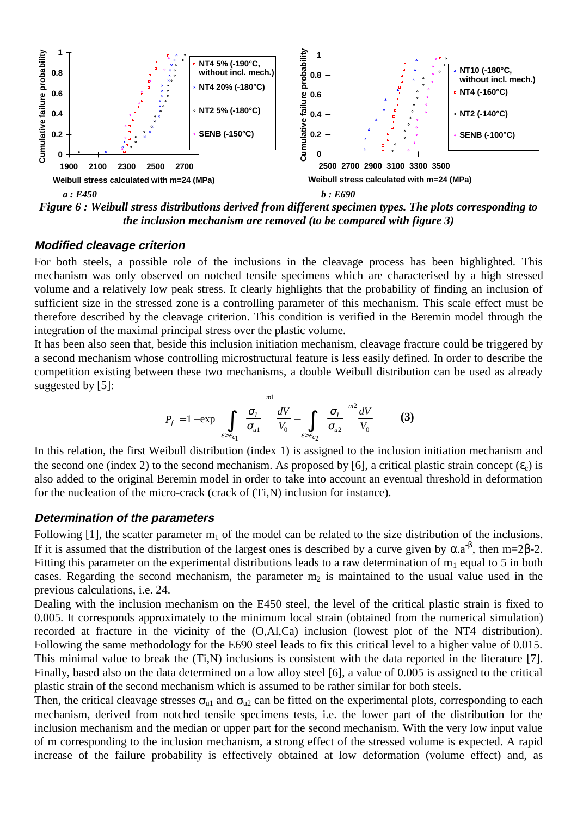

*Figure 6 : Weibull stress distributions derived from different specimen types. The plots corresponding to the inclusion mechanism are removed (to be compared with figure 3)*

#### **Modified cleavage criterion**

For both steels, a possible role of the inclusions in the cleavage process has been highlighted. This mechanism was only observed on notched tensile specimens which are characterised by a high stressed volume and a relatively low peak stress. It clearly highlights that the probability of finding an inclusion of sufficient size in the stressed zone is a controlling parameter of this mechanism. This scale effect must be therefore described by the cleavage criterion. This condition is verified in the Beremin model through the integration of the maximal principal stress over the plastic volume.

It has been also seen that, beside this inclusion initiation mechanism, cleavage fracture could be triggered by a second mechanism whose controlling microstructural feature is less easily defined. In order to describe the competition existing between these two mechanisms, a double Weibull distribution can be used as already suggested by [5]:

$$
P_f = 1 - \exp\left\{\int\limits_{\varepsilon > \varepsilon_{c_1}} \left(\frac{\sigma_I}{\sigma_{u1}}\right)^{m1} \frac{dV}{V_0} - \int\limits_{\varepsilon > \varepsilon_{c_2}} \left(\frac{\sigma_I}{\sigma_{u2}}\right)^{m2} \frac{dV}{V_0}\right\}
$$
(3)

In this relation, the first Weibull distribution (index 1) is assigned to the inclusion initiation mechanism and the second one (index 2) to the second mechanism. As proposed by [6], a critical plastic strain concept  $(\epsilon_c)$  is also added to the original Beremin model in order to take into account an eventual threshold in deformation for the nucleation of the micro-crack (crack of (Ti,N) inclusion for instance).

### **Determination of the parameters**

Following [1], the scatter parameter  $m_1$  of the model can be related to the size distribution of the inclusions. If it is assumed that the distribution of the largest ones is described by a curve given by  $\alpha.a^{-\beta}$ , then m=2β-2. Fitting this parameter on the experimental distributions leads to a raw determination of  $m_1$  equal to 5 in both cases. Regarding the second mechanism, the parameter  $m_2$  is maintained to the usual value used in the previous calculations, i.e. 24.

Dealing with the inclusion mechanism on the E450 steel, the level of the critical plastic strain is fixed to 0.005. It corresponds approximately to the minimum local strain (obtained from the numerical simulation) recorded at fracture in the vicinity of the (O,Al,Ca) inclusion (lowest plot of the NT4 distribution). Following the same methodology for the E690 steel leads to fix this critical level to a higher value of 0.015. This minimal value to break the (Ti,N) inclusions is consistent with the data reported in the literature [7]. Finally, based also on the data determined on a low alloy steel [6], a value of 0.005 is assigned to the critical plastic strain of the second mechanism which is assumed to be rather similar for both steels.

Then, the critical cleavage stresses  $\sigma_{u1}$  and  $\sigma_{u2}$  can be fitted on the experimental plots, corresponding to each mechanism, derived from notched tensile specimens tests, i.e. the lower part of the distribution for the inclusion mechanism and the median or upper part for the second mechanism. With the very low input value of m corresponding to the inclusion mechanism, a strong effect of the stressed volume is expected. A rapid increase of the failure probability is effectively obtained at low deformation (volume effect) and, as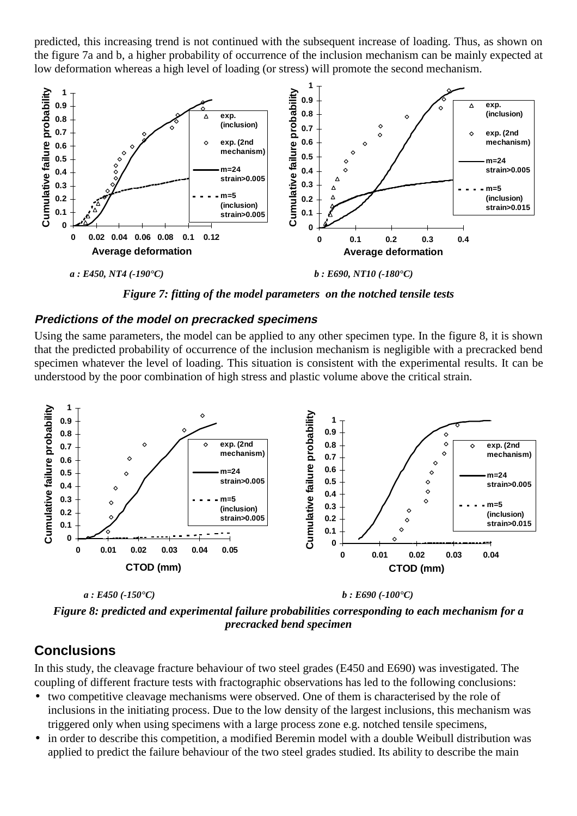predicted, this increasing trend is not continued with the subsequent increase of loading. Thus, as shown on the figure 7a and b, a higher probability of occurrence of the inclusion mechanism can be mainly expected at low deformation whereas a high level of loading (or stress) will promote the second mechanism.



*Figure 7: fitting of the model parameters on the notched tensile tests*

### **Predictions of the model on precracked specimens**

Using the same parameters, the model can be applied to any other specimen type. In the figure 8, it is shown that the predicted probability of occurrence of the inclusion mechanism is negligible with a precracked bend specimen whatever the level of loading. This situation is consistent with the experimental results. It can be understood by the poor combination of high stress and plastic volume above the critical strain.



*Figure 8: predicted and experimental failure probabilities corresponding to each mechanism for a precracked bend specimen*

# **Conclusions**

In this study, the cleavage fracture behaviour of two steel grades (E450 and E690) was investigated. The coupling of different fracture tests with fractographic observations has led to the following conclusions:

- two competitive cleavage mechanisms were observed. One of them is characterised by the role of inclusions in the initiating process. Due to the low density of the largest inclusions, this mechanism was triggered only when using specimens with a large process zone e.g. notched tensile specimens,
- in order to describe this competition, a modified Beremin model with a double Weibull distribution was applied to predict the failure behaviour of the two steel grades studied. Its ability to describe the main